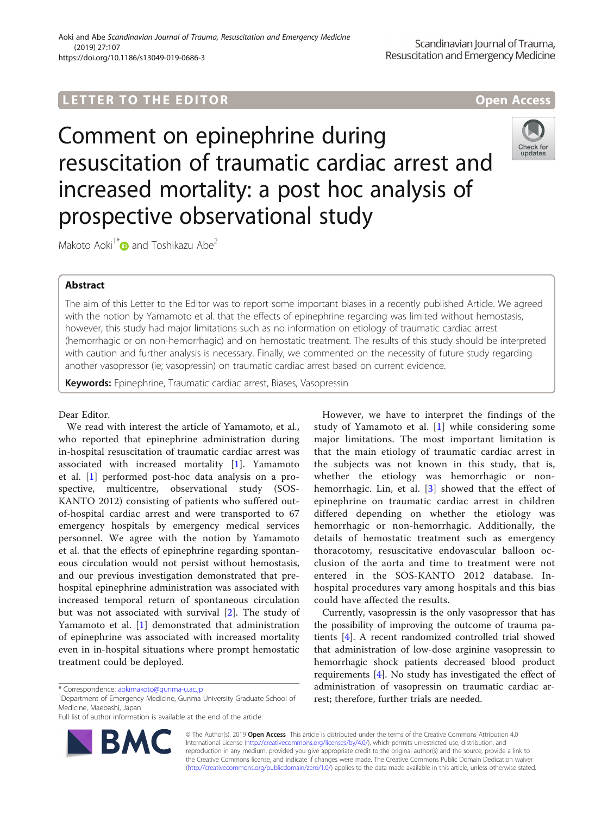# **LETTER TO THE EDITOR CONSIDERING ACCESS**

Comment on epinephrine during resuscitation of traumatic cardiac arrest and increased mortality: a post hoc analysis of prospective observational study



Makoto Aoki<sup>1[\\*](http://orcid.org/0000-0001-8239-8822)</sup> and Toshikazu Abe<sup>2</sup>

# Abstract

The aim of this Letter to the Editor was to report some important biases in a recently published Article. We agreed with the notion by Yamamoto et al. that the effects of epinephrine regarding was limited without hemostasis, however, this study had major limitations such as no information on etiology of traumatic cardiac arrest (hemorrhagic or on non-hemorrhagic) and on hemostatic treatment. The results of this study should be interpreted with caution and further analysis is necessary. Finally, we commented on the necessity of future study regarding another vasopressor (ie; vasopressin) on traumatic cardiac arrest based on current evidence.

Keywords: Epinephrine, Traumatic cardiac arrest, Biases, Vasopressin

# Dear Editor.

We read with interest the article of Yamamoto, et al., who reported that epinephrine administration during in-hospital resuscitation of traumatic cardiac arrest was associated with increased mortality [\[1](#page-1-0)]. Yamamoto et al. [[1\]](#page-1-0) performed post-hoc data analysis on a prospective, multicentre, observational study (SOS-KANTO 2012) consisting of patients who suffered outof-hospital cardiac arrest and were transported to 67 emergency hospitals by emergency medical services personnel. We agree with the notion by Yamamoto et al. that the effects of epinephrine regarding spontaneous circulation would not persist without hemostasis, and our previous investigation demonstrated that prehospital epinephrine administration was associated with increased temporal return of spontaneous circulation but was not associated with survival [[2\]](#page-1-0). The study of Yamamoto et al. [\[1](#page-1-0)] demonstrated that administration of epinephrine was associated with increased mortality even in in-hospital situations where prompt hemostatic treatment could be deployed.

Full list of author information is available at the end of the article



However, we have to interpret the findings of the study of Yamamoto et al. [[1\]](#page-1-0) while considering some major limitations. The most important limitation is that the main etiology of traumatic cardiac arrest in the subjects was not known in this study, that is, whether the etiology was hemorrhagic or nonhemorrhagic. Lin, et al. [\[3](#page-1-0)] showed that the effect of epinephrine on traumatic cardiac arrest in children differed depending on whether the etiology was hemorrhagic or non-hemorrhagic. Additionally, the details of hemostatic treatment such as emergency thoracotomy, resuscitative endovascular balloon occlusion of the aorta and time to treatment were not entered in the SOS-KANTO 2012 database. Inhospital procedures vary among hospitals and this bias could have affected the results.

Currently, vasopressin is the only vasopressor that has the possibility of improving the outcome of trauma patients [\[4](#page-1-0)]. A recent randomized controlled trial showed that administration of low-dose arginine vasopressin to hemorrhagic shock patients decreased blood product requirements [\[4](#page-1-0)]. No study has investigated the effect of administration of vasopressin on traumatic cardiac arrest; therefore, further trials are needed.

© The Author(s). 2019 Open Access This article is distributed under the terms of the Creative Commons Attribution 4.0 International License [\(http://creativecommons.org/licenses/by/4.0/](http://creativecommons.org/licenses/by/4.0/)), which permits unrestricted use, distribution, and reproduction in any medium, provided you give appropriate credit to the original author(s) and the source, provide a link to the Creative Commons license, and indicate if changes were made. The Creative Commons Public Domain Dedication waiver [\(http://creativecommons.org/publicdomain/zero/1.0/](http://creativecommons.org/publicdomain/zero/1.0/)) applies to the data made available in this article, unless otherwise stated.

<sup>\*</sup> Correspondence: [aokimakoto@gunma-u.ac.jp](mailto:aokimakoto@gunma-u.ac.jp) <sup>1</sup>

<sup>&</sup>lt;sup>1</sup>Department of Emergency Medicine, Gunma University Graduate School of Medicine, Maebashi, Japan